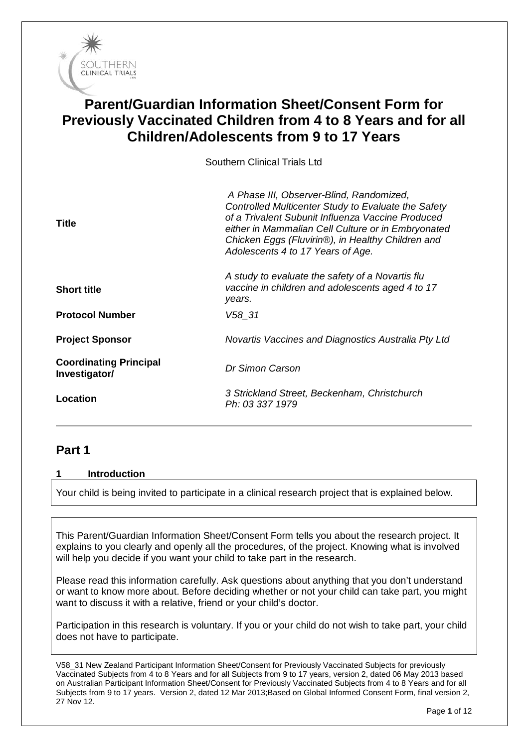

# **Parent/Guardian Information Sheet/Consent Form for Previously Vaccinated Children from 4 to 8 Years and for all Children/Adolescents from 9 to 17 Years**

Southern Clinical Trials Ltd

| Title                                          | A Phase III, Observer-Blind, Randomized,<br>Controlled Multicenter Study to Evaluate the Safety<br>of a Trivalent Subunit Influenza Vaccine Produced<br>either in Mammalian Cell Culture or in Embryonated<br>Chicken Eggs (Fluvirin®), in Healthy Children and<br>Adolescents 4 to 17 Years of Age. |
|------------------------------------------------|------------------------------------------------------------------------------------------------------------------------------------------------------------------------------------------------------------------------------------------------------------------------------------------------------|
| <b>Short title</b>                             | A study to evaluate the safety of a Novartis flu<br>vaccine in children and adolescents aged 4 to 17<br>years.                                                                                                                                                                                       |
| <b>Protocol Number</b>                         | V58 31                                                                                                                                                                                                                                                                                               |
| <b>Project Sponsor</b>                         | Novartis Vaccines and Diagnostics Australia Pty Ltd                                                                                                                                                                                                                                                  |
| <b>Coordinating Principal</b><br>Investigator/ | Dr Simon Carson                                                                                                                                                                                                                                                                                      |
| Location                                       | 3 Strickland Street, Beckenham, Christchurch<br>Ph: 03 337 1979                                                                                                                                                                                                                                      |

# **Part 1**

#### **1 Introduction**

Your child is being invited to participate in a clinical research project that is explained below.

This Parent/Guardian Information Sheet/Consent Form tells you about the research project. It explains to you clearly and openly all the procedures, of the project. Knowing what is involved will help you decide if you want your child to take part in the research.

Please read this information carefully. Ask questions about anything that you don't understand or want to know more about. Before deciding whether or not your child can take part, you might want to discuss it with a relative, friend or your child's doctor.

Participation in this research is voluntary. If you or your child do not wish to take part, your child does not have to participate.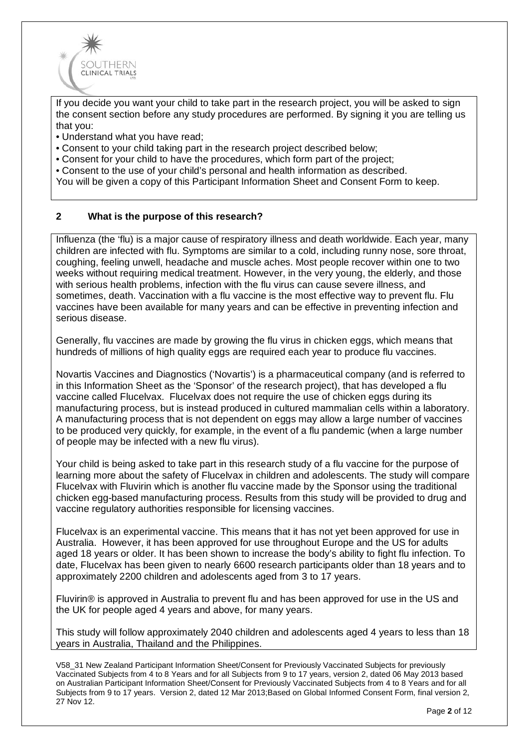

If you decide you want your child to take part in the research project, you will be asked to sign the consent section before any study procedures are performed. By signing it you are telling us that you:

- Understand what you have read;
- Consent to your child taking part in the research project described below;
- Consent for your child to have the procedures, which form part of the project;
- Consent to the use of your child's personal and health information as described.

You will be given a copy of this Participant Information Sheet and Consent Form to keep.

#### **2 What is the purpose of this research?**

Influenza (the 'flu) is a major cause of respiratory illness and death worldwide. Each year, many children are infected with flu. Symptoms are similar to a cold, including runny nose, sore throat, coughing, feeling unwell, headache and muscle aches. Most people recover within one to two weeks without requiring medical treatment. However, in the very young, the elderly, and those with serious health problems, infection with the flu virus can cause severe illness, and sometimes, death. Vaccination with a flu vaccine is the most effective way to prevent flu. Flu vaccines have been available for many years and can be effective in preventing infection and serious disease.

Generally, flu vaccines are made by growing the flu virus in chicken eggs, which means that hundreds of millions of high quality eggs are required each year to produce flu vaccines.

Novartis Vaccines and Diagnostics ('Novartis') is a pharmaceutical company (and is referred to in this Information Sheet as the 'Sponsor' of the research project), that has developed a flu vaccine called Flucelvax. Flucelvax does not require the use of chicken eggs during its manufacturing process, but is instead produced in cultured mammalian cells within a laboratory. A manufacturing process that is not dependent on eggs may allow a large number of vaccines to be produced very quickly, for example, in the event of a flu pandemic (when a large number of people may be infected with a new flu virus).

Your child is being asked to take part in this research study of a flu vaccine for the purpose of learning more about the safety of Flucelvax in children and adolescents. The study will compare Flucelvax with Fluvirin which is another flu vaccine made by the Sponsor using the traditional chicken egg-based manufacturing process. Results from this study will be provided to drug and vaccine regulatory authorities responsible for licensing vaccines.

Flucelvax is an experimental vaccine. This means that it has not yet been approved for use in Australia. However, it has been approved for use throughout Europe and the US for adults aged 18 years or older. It has been shown to increase the body's ability to fight flu infection. To date, Flucelvax has been given to nearly 6600 research participants older than 18 years and to approximately 2200 children and adolescents aged from 3 to 17 years.

Fluvirin® is approved in Australia to prevent flu and has been approved for use in the US and the UK for people aged 4 years and above, for many years.

This study will follow approximately 2040 children and adolescents aged 4 years to less than 18 years in Australia, Thailand and the Philippines.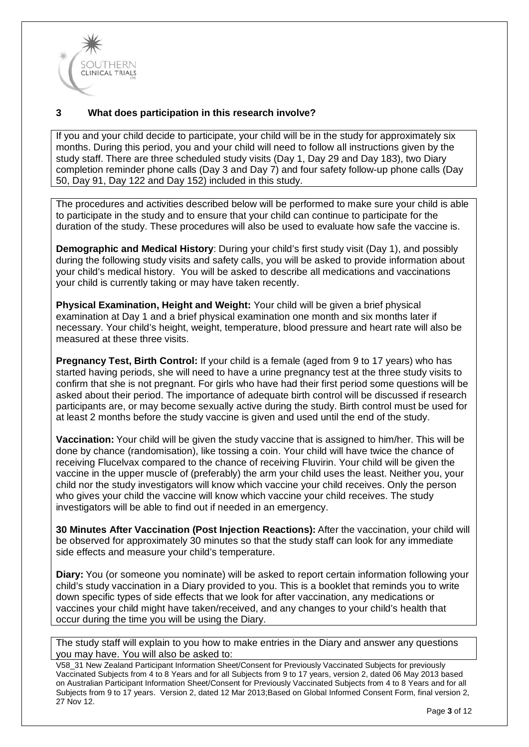

# **3 What does participation in this research involve?**

If you and your child decide to participate, your child will be in the study for approximately six months. During this period, you and your child will need to follow all instructions given by the study staff. There are three scheduled study visits (Day 1, Day 29 and Day 183), two Diary completion reminder phone calls (Day 3 and Day 7) and four safety follow-up phone calls (Day 50, Day 91, Day 122 and Day 152) included in this study.

The procedures and activities described below will be performed to make sure your child is able to participate in the study and to ensure that your child can continue to participate for the duration of the study. These procedures will also be used to evaluate how safe the vaccine is.

**Demographic and Medical History**: During your child's first study visit (Day 1), and possibly during the following study visits and safety calls, you will be asked to provide information about your child's medical history. You will be asked to describe all medications and vaccinations your child is currently taking or may have taken recently.

**Physical Examination, Height and Weight:** Your child will be given a brief physical examination at Day 1 and a brief physical examination one month and six months later if necessary. Your child's height, weight, temperature, blood pressure and heart rate will also be measured at these three visits.

**Pregnancy Test, Birth Control:** If your child is a female (aged from 9 to 17 years) who has started having periods, she will need to have a urine pregnancy test at the three study visits to confirm that she is not pregnant. For girls who have had their first period some questions will be asked about their period. The importance of adequate birth control will be discussed if research participants are, or may become sexually active during the study. Birth control must be used for at least 2 months before the study vaccine is given and used until the end of the study.

**Vaccination:** Your child will be given the study vaccine that is assigned to him/her. This will be done by chance (randomisation), like tossing a coin. Your child will have twice the chance of receiving Flucelvax compared to the chance of receiving Fluvirin. Your child will be given the vaccine in the upper muscle of (preferably) the arm your child uses the least. Neither you, your child nor the study investigators will know which vaccine your child receives. Only the person who gives your child the vaccine will know which vaccine your child receives. The study investigators will be able to find out if needed in an emergency.

**30 Minutes After Vaccination (Post Injection Reactions):** After the vaccination, your child will be observed for approximately 30 minutes so that the study staff can look for any immediate side effects and measure your child's temperature.

**Diary:** You (or someone you nominate) will be asked to report certain information following your child's study vaccination in a Diary provided to you. This is a booklet that reminds you to write down specific types of side effects that we look for after vaccination, any medications or vaccines your child might have taken/received, and any changes to your child's health that occur during the time you will be using the Diary.

The study staff will explain to you how to make entries in the Diary and answer any questions you may have. You will also be asked to: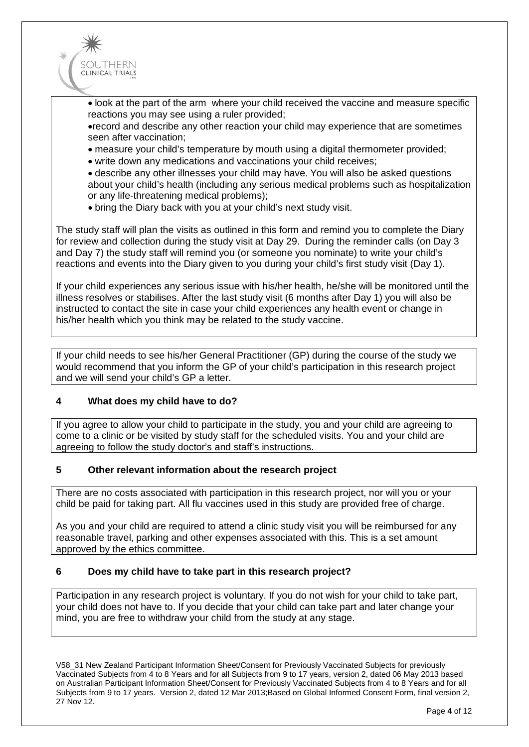

• look at the part of the arm where your child received the vaccine and measure specific reactions you may see using a ruler provided;

•record and describe any other reaction your child may experience that are sometimes seen after vaccination;

- measure your child's temperature by mouth using a digital thermometer provided;
- write down any medications and vaccinations your child receives;

• describe any other illnesses your child may have. You will also be asked questions about your child's health (including any serious medical problems such as hospitalization or any life-threatening medical problems);

• bring the Diary back with you at your child's next study visit.

The study staff will plan the visits as outlined in this form and remind you to complete the Diary for review and collection during the study visit at Day 29. During the reminder calls (on Day 3 and Day 7) the study staff will remind you (or someone you nominate) to write your child's reactions and events into the Diary given to you during your child's first study visit (Day 1).

If your child experiences any serious issue with his/her health, he/she will be monitored until the illness resolves or stabilises. After the last study visit (6 months after Day 1) you will also be instructed to contact the site in case your child experiences any health event or change in his/her health which you think may be related to the study vaccine.

If your child needs to see his/her General Practitioner (GP) during the course of the study we would recommend that you inform the GP of your child's participation in this research project and we will send your child's GP a letter.

#### **4 What does my child have to do?**

If you agree to allow your child to participate in the study, you and your child are agreeing to come to a clinic or be visited by study staff for the scheduled visits. You and your child are agreeing to follow the study doctor's and staff's instructions.

#### **5 Other relevant information about the research project**

There are no costs associated with participation in this research project, nor will you or your child be paid for taking part. All flu vaccines used in this study are provided free of charge.

As you and your child are required to attend a clinic study visit you will be reimbursed for any reasonable travel, parking and other expenses associated with this. This is a set amount approved by the ethics committee.

#### **6 Does my child have to take part in this research project?**

Participation in any research project is voluntary. If you do not wish for your child to take part, your child does not have to. If you decide that your child can take part and later change your mind, you are free to withdraw your child from the study at any stage.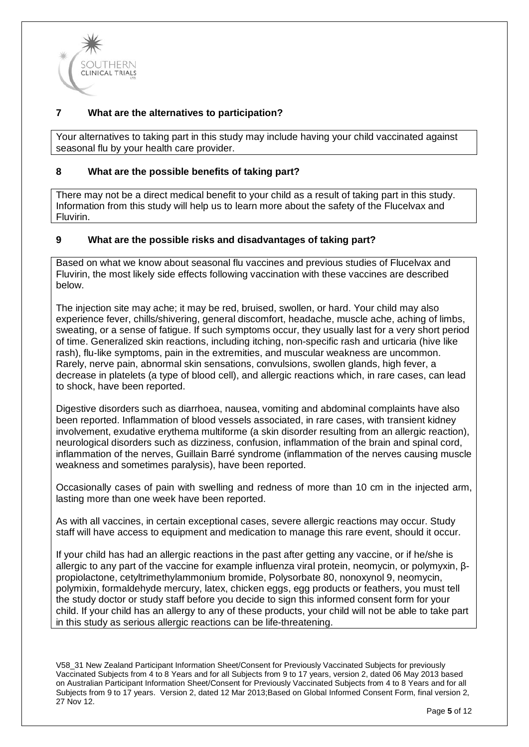

# **7 What are the alternatives to participation?**

Your alternatives to taking part in this study may include having your child vaccinated against seasonal flu by your health care provider.

#### **8 What are the possible benefits of taking part?**

There may not be a direct medical benefit to your child as a result of taking part in this study. Information from this study will help us to learn more about the safety of the Flucelvax and Fluvirin.

#### **9 What are the possible risks and disadvantages of taking part?**

Based on what we know about seasonal flu vaccines and previous studies of Flucelvax and Fluvirin, the most likely side effects following vaccination with these vaccines are described below.

The injection site may ache; it may be red, bruised, swollen, or hard. Your child may also experience fever, chills/shivering, general discomfort, headache, muscle ache, aching of limbs, sweating, or a sense of fatigue. If such symptoms occur, they usually last for a very short period of time. Generalized skin reactions, including itching, non-specific rash and urticaria (hive like rash), flu-like symptoms, pain in the extremities, and muscular weakness are uncommon. Rarely, nerve pain, abnormal skin sensations, convulsions, swollen glands, high fever, a decrease in platelets (a type of blood cell), and allergic reactions which, in rare cases, can lead to shock, have been reported.

Digestive disorders such as diarrhoea, nausea, vomiting and abdominal complaints have also been reported. Inflammation of blood vessels associated, in rare cases, with transient kidney involvement, exudative erythema multiforme (a skin disorder resulting from an allergic reaction), neurological disorders such as dizziness, confusion, inflammation of the brain and spinal cord, inflammation of the nerves, Guillain Barré syndrome (inflammation of the nerves causing muscle weakness and sometimes paralysis), have been reported.

Occasionally cases of pain with swelling and redness of more than 10 cm in the injected arm, lasting more than one week have been reported.

As with all vaccines, in certain exceptional cases, severe allergic reactions may occur. Study staff will have access to equipment and medication to manage this rare event, should it occur.

If your child has had an allergic reactions in the past after getting any vaccine, or if he/she is allergic to any part of the vaccine for example influenza viral protein, neomycin, or polymyxin, βpropiolactone, cetyltrimethylammonium bromide, Polysorbate 80, nonoxynol 9, neomycin, polymixin, formaldehyde mercury, latex, chicken eggs, egg products or feathers, you must tell the study doctor or study staff before you decide to sign this informed consent form for your child. If your child has an allergy to any of these products, your child will not be able to take part in this study as serious allergic reactions can be life-threatening.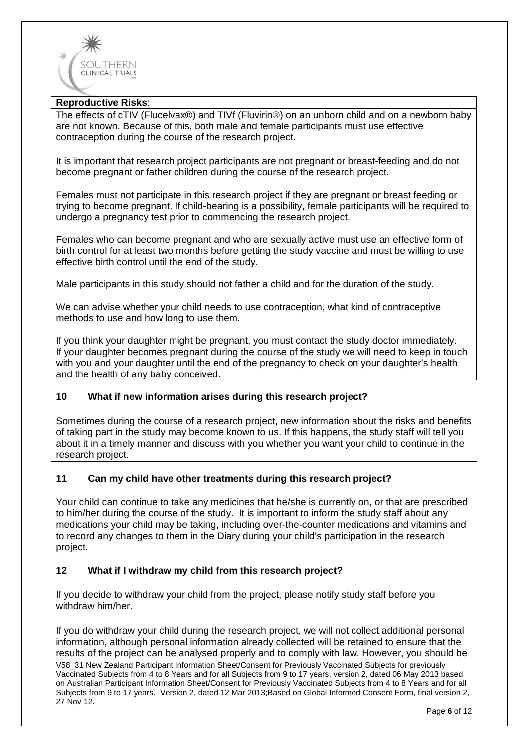

# **Reproductive Risks**:

The effects of cTIV (Flucelvax®) and TIVf (Fluvirin®) on an unborn child and on a newborn baby are not known. Because of this, both male and female participants must use effective contraception during the course of the research project.

It is important that research project participants are not pregnant or breast-feeding and do not become pregnant or father children during the course of the research project.

Females must not participate in this research project if they are pregnant or breast feeding or trying to become pregnant. If child-bearing is a possibility, female participants will be required to undergo a pregnancy test prior to commencing the research project.

Females who can become pregnant and who are sexually active must use an effective form of birth control for at least two months before getting the study vaccine and must be willing to use effective birth control until the end of the study.

Male participants in this study should not father a child and for the duration of the study.

We can advise whether your child needs to use contraception, what kind of contraceptive methods to use and how long to use them.

If you think your daughter might be pregnant, you must contact the study doctor immediately. If your daughter becomes pregnant during the course of the study we will need to keep in touch with you and your daughter until the end of the pregnancy to check on your daughter's health and the health of any baby conceived.

#### **10 What if new information arises during this research project?**

Sometimes during the course of a research project, new information about the risks and benefits of taking part in the study may become known to us. If this happens, the study staff will tell you about it in a timely manner and discuss with you whether you want your child to continue in the research project.

#### **11 Can my child have other treatments during this research project?**

Your child can continue to take any medicines that he/she is currently on, or that are prescribed to him/her during the course of the study. It is important to inform the study staff about any medications your child may be taking, including over-the-counter medications and vitamins and to record any changes to them in the Diary during your child's participation in the research project.

#### **12 What if I withdraw my child from this research project?**

If you decide to withdraw your child from the project, please notify study staff before you withdraw him/her.

If you do withdraw your child during the research project, we will not collect additional personal information, although personal information already collected will be retained to ensure that the results of the project can be analysed properly and to comply with law. However, you should be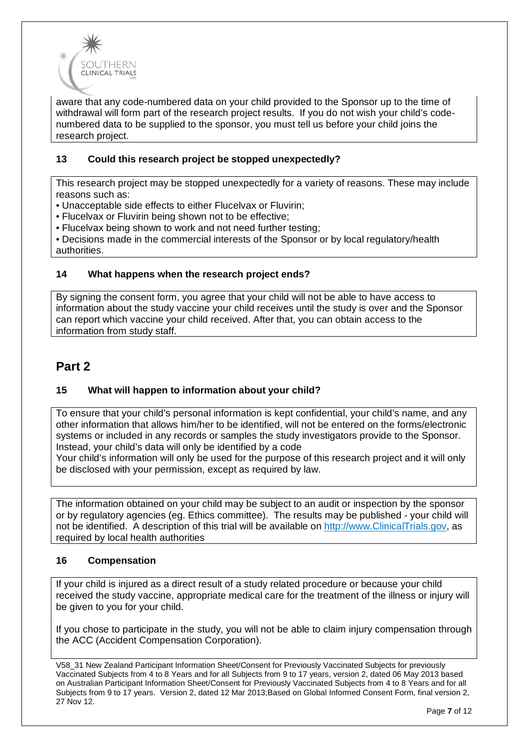

aware that any code-numbered data on your child provided to the Sponsor up to the time of withdrawal will form part of the research project results. If you do not wish your child's codenumbered data to be supplied to the sponsor, you must tell us before your child joins the research project.

# **13 Could this research project be stopped unexpectedly?**

This research project may be stopped unexpectedly for a variety of reasons. These may include reasons such as:

• Unacceptable side effects to either Flucelvax or Fluvirin;

• Flucelvax or Fluvirin being shown not to be effective;

• Flucelvax being shown to work and not need further testing;

• Decisions made in the commercial interests of the Sponsor or by local regulatory/health authorities.

#### **14 What happens when the research project ends?**

By signing the consent form, you agree that your child will not be able to have access to information about the study vaccine your child receives until the study is over and the Sponsor can report which vaccine your child received. After that, you can obtain access to the information from study staff.

# **Part 2**

#### **15 What will happen to information about your child?**

To ensure that your child's personal information is kept confidential, your child's name, and any other information that allows him/her to be identified, will not be entered on the forms/electronic systems or included in any records or samples the study investigators provide to the Sponsor. Instead, your child's data will only be identified by a code

Your child's information will only be used for the purpose of this research project and it will only be disclosed with your permission, except as required by law.

The information obtained on your child may be subject to an audit or inspection by the sponsor or by regulatory agencies (eg. Ethics committee). The results may be published - your child will not be identified. A description of this trial will be available on http://www.ClinicalTrials.gov, as required by local health authorities

#### **16 Compensation**

If your child is injured as a direct result of a study related procedure or because your child received the study vaccine, appropriate medical care for the treatment of the illness or injury will be given to you for your child.

If you chose to participate in the study, you will not be able to claim injury compensation through the ACC (Accident Compensation Corporation).

V58\_31 New Zealand Participant Information Sheet/Consent for Previously Vaccinated Subjects for previously Vaccinated Subjects from 4 to 8 Years and for all Subjects from 9 to 17 years, version 2, dated 06 May 2013 based on Australian Participant Information Sheet/Consent for Previously Vaccinated Subjects from 4 to 8 Years and for all Subjects from 9 to 17 years. Version 2, dated 12 Mar 2013;Based on Global Informed Consent Form, final version 2, 27 Nov 12.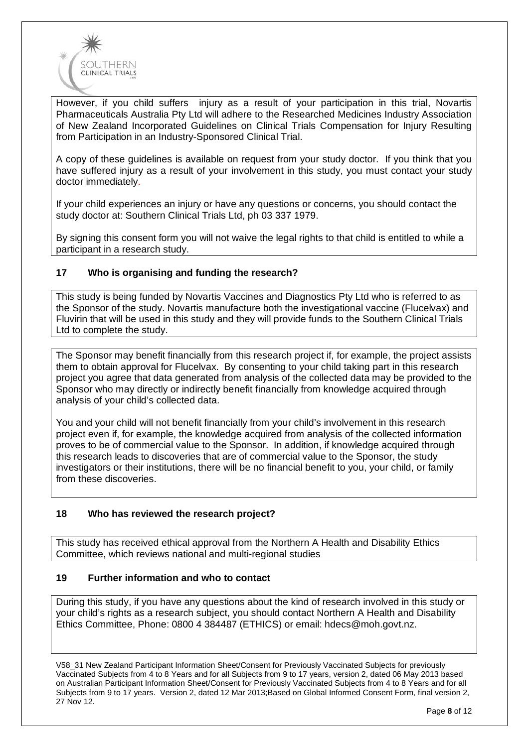

However, if you child suffers injury as a result of your participation in this trial, Novartis Pharmaceuticals Australia Pty Ltd will adhere to the Researched Medicines Industry Association of New Zealand Incorporated Guidelines on Clinical Trials Compensation for Injury Resulting from Participation in an Industry-Sponsored Clinical Trial.

A copy of these guidelines is available on request from your study doctor. If you think that you have suffered injury as a result of your involvement in this study, you must contact your study doctor immediately.

If your child experiences an injury or have any questions or concerns, you should contact the study doctor at: Southern Clinical Trials Ltd, ph 03 337 1979.

By signing this consent form you will not waive the legal rights to that child is entitled to while a participant in a research study.

# **17 Who is organising and funding the research?**

This study is being funded by Novartis Vaccines and Diagnostics Pty Ltd who is referred to as the Sponsor of the study. Novartis manufacture both the investigational vaccine (Flucelvax) and Fluvirin that will be used in this study and they will provide funds to the Southern Clinical Trials Ltd to complete the study.

The Sponsor may benefit financially from this research project if, for example, the project assists them to obtain approval for Flucelvax. By consenting to your child taking part in this research project you agree that data generated from analysis of the collected data may be provided to the Sponsor who may directly or indirectly benefit financially from knowledge acquired through analysis of your child's collected data.

You and your child will not benefit financially from your child's involvement in this research project even if, for example, the knowledge acquired from analysis of the collected information proves to be of commercial value to the Sponsor. In addition, if knowledge acquired through this research leads to discoveries that are of commercial value to the Sponsor, the study investigators or their institutions, there will be no financial benefit to you, your child, or family from these discoveries.

#### **18 Who has reviewed the research project?**

This study has received ethical approval from the Northern A Health and Disability Ethics Committee, which reviews national and multi-regional studies

#### **19 Further information and who to contact**

During this study, if you have any questions about the kind of research involved in this study or your child's rights as a research subject, you should contact Northern A Health and Disability Ethics Committee, Phone: 0800 4 384487 (ETHICS) or email: [hdecs@moh.govt.nz.](mailto:hdecs@moh.govt.nz)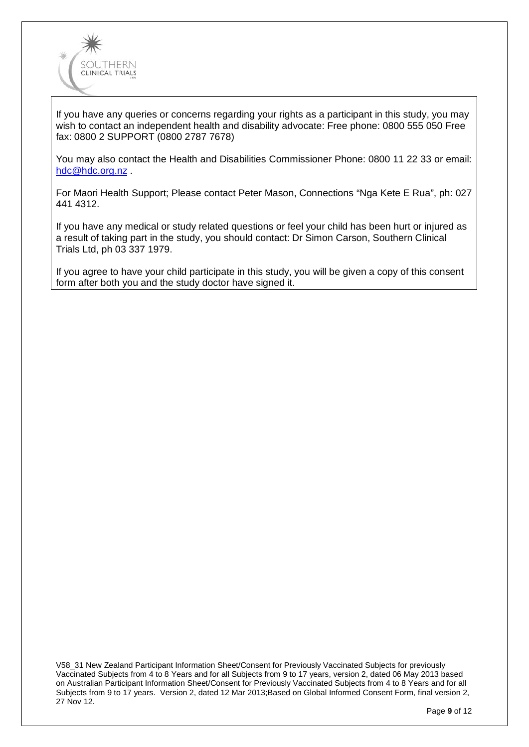

If you have any queries or concerns regarding your rights as a participant in this study, you may wish to contact an independent health and disability advocate: Free phone: 0800 555 050 Free fax: 0800 2 SUPPORT (0800 2787 7678)

You may also contact the Health and Disabilities Commissioner Phone: 0800 11 22 33 or email: [hdc@hdc.org.nz](mailto:hdc@hdc.org.nz) .

For Maori Health Support; Please contact Peter Mason, Connections "Nga Kete E Rua", ph: 027 441 4312.

If you have any medical or study related questions or feel your child has been hurt or injured as a result of taking part in the study, you should contact: Dr Simon Carson, Southern Clinical Trials Ltd, ph 03 337 1979.

If you agree to have your child participate in this study, you will be given a copy of this consent form after both you and the study doctor have signed it.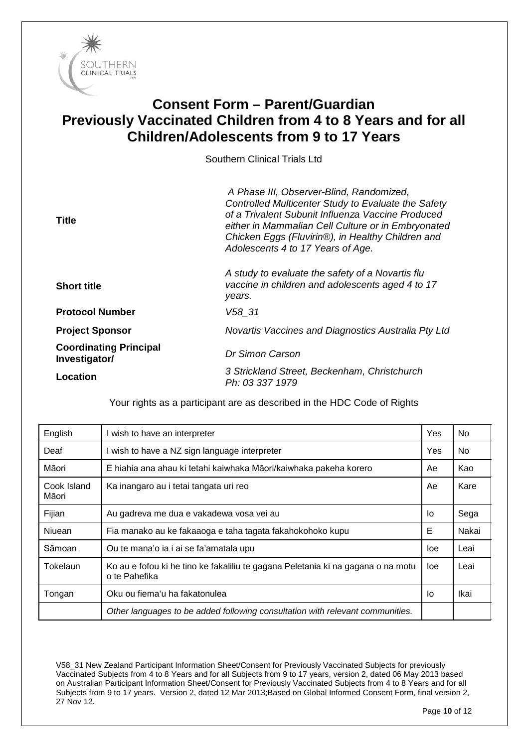

# **Consent Form – Parent/Guardian Previously Vaccinated Children from 4 to 8 Years and for all Children/Adolescents from 9 to 17 Years**

Southern Clinical Trials Ltd

| Title                                          | A Phase III, Observer-Blind, Randomized,<br>Controlled Multicenter Study to Evaluate the Safety<br>of a Trivalent Subunit Influenza Vaccine Produced<br>either in Mammalian Cell Culture or in Embryonated<br>Chicken Eggs (Fluvirin®), in Healthy Children and<br>Adolescents 4 to 17 Years of Age. |
|------------------------------------------------|------------------------------------------------------------------------------------------------------------------------------------------------------------------------------------------------------------------------------------------------------------------------------------------------------|
| <b>Short title</b>                             | A study to evaluate the safety of a Novartis flu<br>vaccine in children and adolescents aged 4 to 17<br>years.                                                                                                                                                                                       |
| <b>Protocol Number</b>                         | V58 31                                                                                                                                                                                                                                                                                               |
| <b>Project Sponsor</b>                         | Novartis Vaccines and Diagnostics Australia Pty Ltd                                                                                                                                                                                                                                                  |
| <b>Coordinating Principal</b><br>Investigator/ | Dr Simon Carson                                                                                                                                                                                                                                                                                      |
| <b>Location</b>                                | 3 Strickland Street, Beckenham, Christchurch<br>Ph: 03 337 1979                                                                                                                                                                                                                                      |

| English              | I wish to have an interpreter                                                                     | <b>Yes</b> | No.   |
|----------------------|---------------------------------------------------------------------------------------------------|------------|-------|
| Deaf                 | I wish to have a NZ sign language interpreter                                                     | Yes        | No.   |
| Māori                | E hiahia ana ahau ki tetahi kaiwhaka Māori/kaiwhaka pakeha korero                                 | Ae         | Kao   |
| Cook Island<br>Māori | Ka inangaro au i tetai tangata uri reo                                                            | Ae         | Kare  |
| Fijian               | Au gadreva me dua e vakadewa vosa vei au                                                          | lo         | Sega  |
| Niuean               | Fia manako au ke fakaaoga e taha tagata fakahokohoko kupu                                         | Е          | Nakai |
| Sāmoan               | Ou te mana'o ia i ai se fa'amatala upu                                                            | loe        | Leai  |
| Tokelaun             | Ko au e fofou ki he tino ke fakaliliu te gagana Peletania ki na gagana o na motu<br>o te Pahefika | loe        | Leai  |
| Tongan               | Oku ou fiema'u ha fakatonulea                                                                     | lo         | Ikai  |
|                      | Other languages to be added following consultation with relevant communities.                     |            |       |

Your rights as a participant are as described in the HDC Code of Rights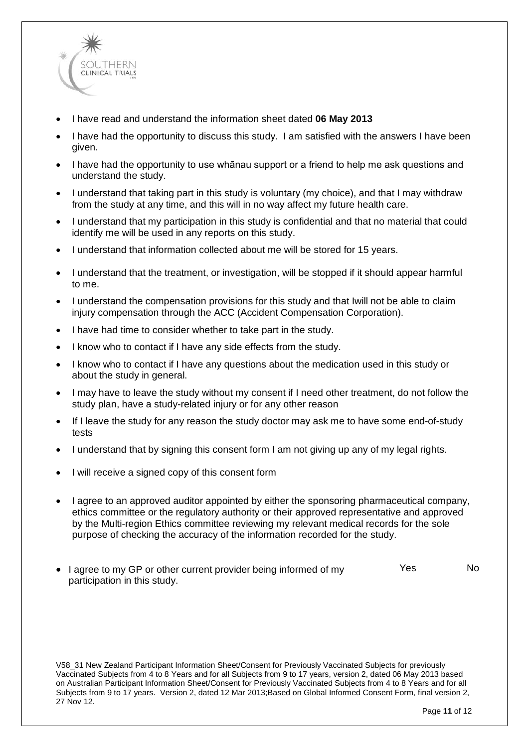

- I have read and understand the information sheet dated **06 May 2013**
- I have had the opportunity to discuss this study. I am satisfied with the answers I have been given.
- I have had the opportunity to use whānau support or a friend to help me ask questions and understand the study.
- I understand that taking part in this study is voluntary (my choice), and that I may withdraw from the study at any time, and this will in no way affect my future health care.
- I understand that my participation in this study is confidential and that no material that could identify me will be used in any reports on this study.
- I understand that information collected about me will be stored for 15 years.
- I understand that the treatment, or investigation, will be stopped if it should appear harmful to me.
- I understand the compensation provisions for this study and that Iwill not be able to claim injury compensation through the ACC (Accident Compensation Corporation).
- I have had time to consider whether to take part in the study.
- I know who to contact if I have any side effects from the study.
- I know who to contact if I have any questions about the medication used in this study or about the study in general.
- I may have to leave the study without my consent if I need other treatment, do not follow the study plan, have a study-related injury or for any other reason
- If I leave the study for any reason the study doctor may ask me to have some end-of-study tests
- I understand that by signing this consent form I am not giving up any of my legal rights.
- I will receive a signed copy of this consent form
- I agree to an approved auditor appointed by either the sponsoring pharmaceutical company, ethics committee or the regulatory authority or their approved representative and approved by the Multi-region Ethics committee reviewing my relevant medical records for the sole purpose of checking the accuracy of the information recorded for the study.
- I agree to my GP or other current provider being informed of my participation in this study. Yes No